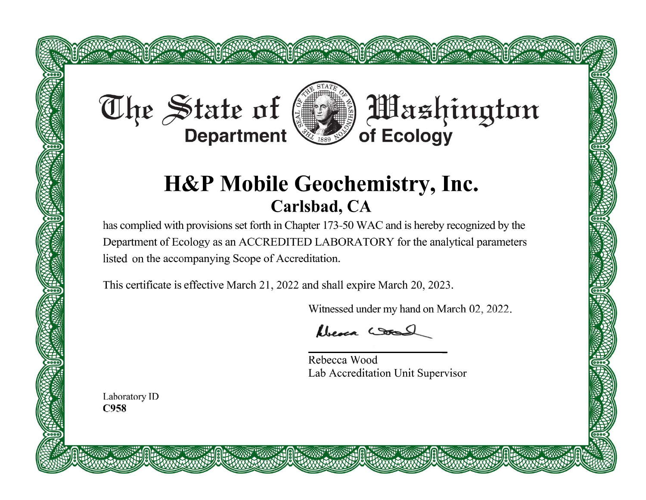# The State of



**DE**ashington

# **H&P Mobile Geochemistry, Inc.** Carlsbad, CA

has complied with provisions set forth in Chapter 173-50 WAC and is hereby recognized by the Department of Ecology as an ACCREDITED LABORATORY for the analytical parameters listed on the accompanying Scope of Accreditation.

This certificate is effective March 21, 2022 and shall expire March 20, 2023.

**BOOK ROOM SHOWS ROOM** 

Witnessed under my hand on March 02, 2022.

Never Cool

Rebecca Wood Lab Accreditation Unit Supervisor

Laboratory ID C958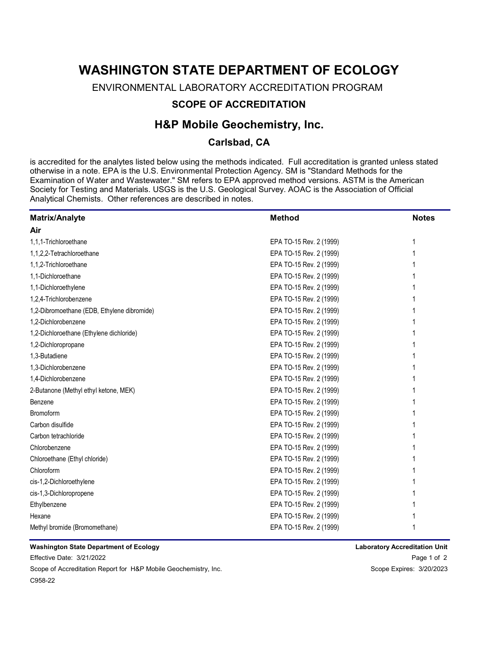# WASHINGTON STATE DEPARTMENT OF ECOLOGY

ENVIRONMENTAL LABORATORY ACCREDITATION PROGRAM

## SCOPE OF ACCREDITATION

# H&P Mobile Geochemistry, Inc.

### Carlsbad, CA

is accredited for the analytes listed below using the methods indicated. Full accreditation is granted unless stated otherwise in a note. EPA is the U.S. Environmental Protection Agency. SM is "Standard Methods for the Examination of Water and Wastewater." SM refers to EPA approved method versions. ASTM is the American Society for Testing and Materials. USGS is the U.S. Geological Survey. AOAC is the Association of Official Analytical Chemists. Other references are described in notes.

| <b>Matrix/Analyte</b>                       | <b>Method</b>           | <b>Notes</b> |
|---------------------------------------------|-------------------------|--------------|
| Air                                         |                         |              |
| 1,1,1-Trichloroethane                       | EPA TO-15 Rev. 2 (1999) |              |
| 1,1,2,2-Tetrachloroethane                   | EPA TO-15 Rev. 2 (1999) |              |
| 1,1,2-Trichloroethane                       | EPA TO-15 Rev. 2 (1999) |              |
| 1,1-Dichloroethane                          | EPA TO-15 Rev. 2 (1999) |              |
| 1,1-Dichloroethylene                        | EPA TO-15 Rev. 2 (1999) |              |
| 1,2,4-Trichlorobenzene                      | EPA TO-15 Rev. 2 (1999) |              |
| 1,2-Dibromoethane (EDB, Ethylene dibromide) | EPA TO-15 Rev. 2 (1999) |              |
| 1,2-Dichlorobenzene                         | EPA TO-15 Rev. 2 (1999) |              |
| 1,2-Dichloroethane (Ethylene dichloride)    | EPA TO-15 Rev. 2 (1999) |              |
| 1,2-Dichloropropane                         | EPA TO-15 Rev. 2 (1999) |              |
| 1,3-Butadiene                               | EPA TO-15 Rev. 2 (1999) |              |
| 1,3-Dichlorobenzene                         | EPA TO-15 Rev. 2 (1999) |              |
| 1,4-Dichlorobenzene                         | EPA TO-15 Rev. 2 (1999) |              |
| 2-Butanone (Methyl ethyl ketone, MEK)       | EPA TO-15 Rev. 2 (1999) |              |
| Benzene                                     | EPA TO-15 Rev. 2 (1999) |              |
| <b>Bromoform</b>                            | EPA TO-15 Rev. 2 (1999) |              |
| Carbon disulfide                            | EPA TO-15 Rev. 2 (1999) |              |
| Carbon tetrachloride                        | EPA TO-15 Rev. 2 (1999) |              |
| Chlorobenzene                               | EPA TO-15 Rev. 2 (1999) |              |
| Chloroethane (Ethyl chloride)               | EPA TO-15 Rev. 2 (1999) |              |
| Chloroform                                  | EPA TO-15 Rev. 2 (1999) |              |
| cis-1,2-Dichloroethylene                    | EPA TO-15 Rev. 2 (1999) |              |
| cis-1,3-Dichloropropene                     | EPA TO-15 Rev. 2 (1999) |              |
| Ethylbenzene                                | EPA TO-15 Rev. 2 (1999) |              |
| Hexane                                      | EPA TO-15 Rev. 2 (1999) |              |
| Methyl bromide (Bromomethane)               | EPA TO-15 Rev. 2 (1999) |              |

#### Washington State Department of Ecology

Effective Date: 3/21/2022 Scope of Accreditation Report for H&P Mobile Geochemistry, Inc. Scope States: States: 3/20/2023 C958-22

Page 1 of 2 Laboratory Accreditation Unit